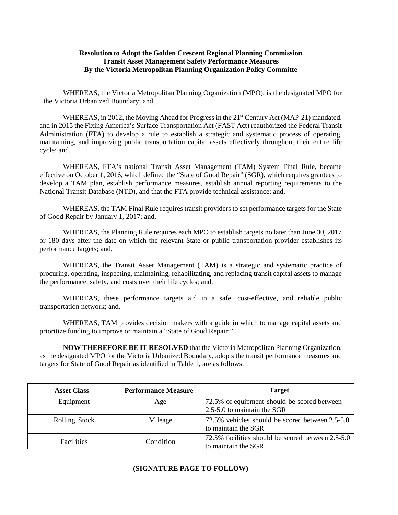## **Resolution to Adopt the Golden Crescent Regional Planning Commission Transit Asset Management Safety Performance Measures By the Victoria Metropolitan Planning Organization Policy Committe**

WHEREAS, the Victoria Metropolitan Planning Organization (MPO), is the designated MPO for the Victoria Urbanized Boundary; and,

WHEREAS, in 2012, the Moving Ahead for Progress in the 21<sup>st</sup> Century Act (MAP-21) mandated, and in 2015 the Fixing America's Surface Transportation Act (FAST Act) reauthorized the Federal Transit Administration (FTA) to develop a rule to establish a strategic and systematic process of operating, maintaining, and improving public transportation capital assets effectively throughout their entire life cycle; and,

WHEREAS, FTA's national Transit Asset Management (TAM) System Final Rule, became effective on October 1, 2016, which defined the "State of Good Repair" (SGR), which requires grantees to develop a TAM plan, establish performance measures, establish annual reporting requirements to the National Transit Database (NTD), and that the FTA provide technical assistance; and,

WHEREAS, the TAM Final Rule requires transit providers to set performance targets for the State of Good Repair by January 1, 2017; and,

WHEREAS, the Planning Rule requires each MPO to establish targets no later than June 30, 2017 or 180 days after the date on which the relevant State or public transportation provider establishes its performance targets; and,

WHEREAS, the Transit Asset Management (TAM) is a strategic and systematic practice of procuring, operating, inspecting, maintaining, rehabilitating, and replacing transit capital assets to manage the performance, safety, and costs over their life cycles; and,

WHEREAS, these performance targets aid in a safe, cost-effective, and reliable public transportation network; and,

WHEREAS, TAM provides decision makers with a guide in which to manage capital assets and prioritize funding to improve or maintain a "State of Good Repair;"

**NOW THEREFORE BE IT RESOLVED** that the Victoria Metropolitan Planning Organization, as the designated MPO for the Victoria Urbanized Boundary, adopts the transit performance measures and targets for State of Good Repair as identified in Table 1, are as follows:

| <b>Asset Class</b>   | <b>Performance Measure</b> | <b>Target</b>                                                              |
|----------------------|----------------------------|----------------------------------------------------------------------------|
| Equipment            | Age                        | 72.5% of equipment should be scored between<br>2.5-5.0 to maintain the SGR |
| <b>Rolling Stock</b> | Mileage                    | 72.5% vehicles should be scored between 2.5-5.0<br>to maintain the SGR     |
| <b>Facilities</b>    | Condition                  | 72.5% facilities should be scored between 2.5-5.0<br>to maintain the SGR   |

## **(SIGNATURE PAGE TO FOLLOW)**